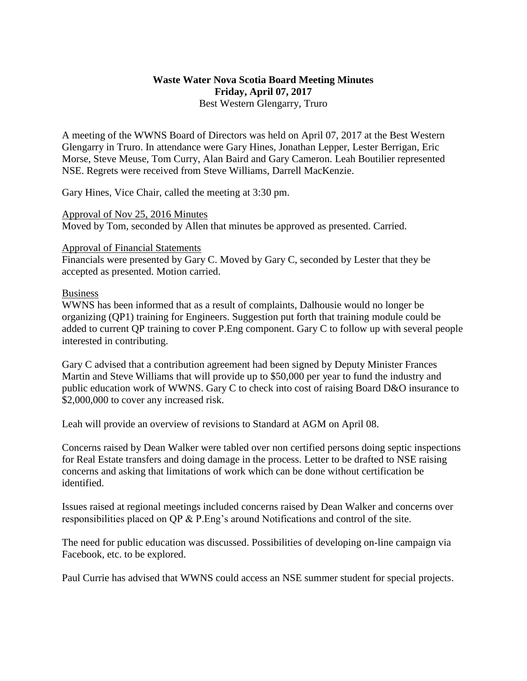## **Waste Water Nova Scotia Board Meeting Minutes Friday, April 07, 2017** Best Western Glengarry, Truro

A meeting of the WWNS Board of Directors was held on April 07, 2017 at the Best Western Glengarry in Truro. In attendance were Gary Hines, Jonathan Lepper, Lester Berrigan, Eric Morse, Steve Meuse, Tom Curry, Alan Baird and Gary Cameron. Leah Boutilier represented NSE. Regrets were received from Steve Williams, Darrell MacKenzie.

Gary Hines, Vice Chair, called the meeting at 3:30 pm.

Approval of Nov 25, 2016 Minutes Moved by Tom, seconded by Allen that minutes be approved as presented. Carried.

## Approval of Financial Statements

Financials were presented by Gary C. Moved by Gary C, seconded by Lester that they be accepted as presented. Motion carried.

## Business

WWNS has been informed that as a result of complaints, Dalhousie would no longer be organizing (QP1) training for Engineers. Suggestion put forth that training module could be added to current QP training to cover P.Eng component. Gary C to follow up with several people interested in contributing.

Gary C advised that a contribution agreement had been signed by Deputy Minister Frances Martin and Steve Williams that will provide up to \$50,000 per year to fund the industry and public education work of WWNS. Gary C to check into cost of raising Board D&O insurance to \$2,000,000 to cover any increased risk.

Leah will provide an overview of revisions to Standard at AGM on April 08.

Concerns raised by Dean Walker were tabled over non certified persons doing septic inspections for Real Estate transfers and doing damage in the process. Letter to be drafted to NSE raising concerns and asking that limitations of work which can be done without certification be identified.

Issues raised at regional meetings included concerns raised by Dean Walker and concerns over responsibilities placed on QP & P.Eng's around Notifications and control of the site.

The need for public education was discussed. Possibilities of developing on-line campaign via Facebook, etc. to be explored.

Paul Currie has advised that WWNS could access an NSE summer student for special projects.